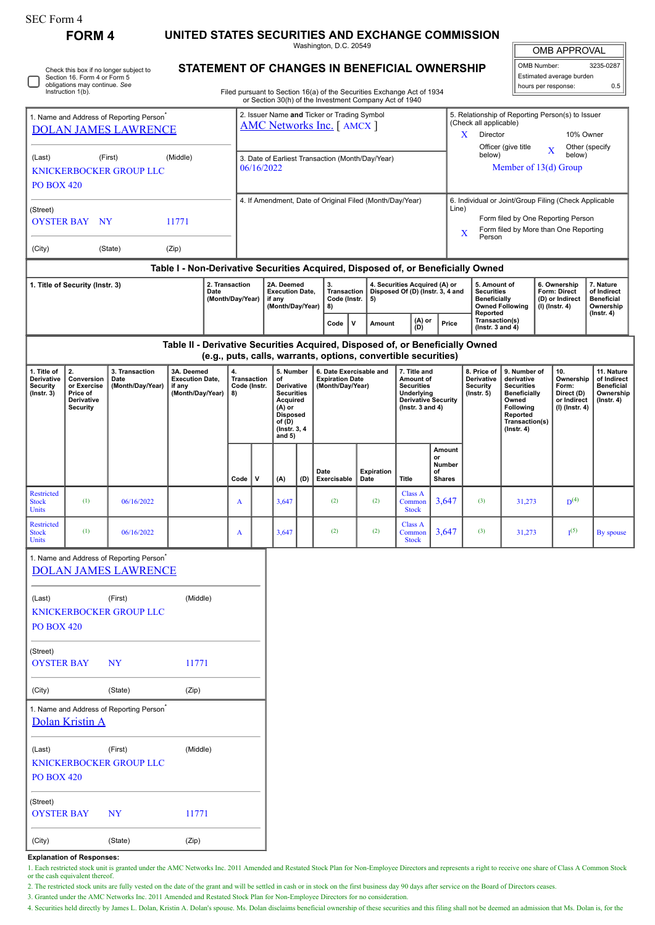| SEC Form 4                                                                          | <b>FORM4</b>                                                                                                                     |                                                      |                                                                            |  |                            |                                      |                                                                                               |     |                                                                                                                                                 |                                                                   |                   |                                                                                        |                                                          |                |                                                                 |                                                    |                          |                                                                             |                                |
|-------------------------------------------------------------------------------------|----------------------------------------------------------------------------------------------------------------------------------|------------------------------------------------------|----------------------------------------------------------------------------|--|----------------------------|--------------------------------------|-----------------------------------------------------------------------------------------------|-----|-------------------------------------------------------------------------------------------------------------------------------------------------|-------------------------------------------------------------------|-------------------|----------------------------------------------------------------------------------------|----------------------------------------------------------|----------------|-----------------------------------------------------------------|----------------------------------------------------|--------------------------|-----------------------------------------------------------------------------|--------------------------------|
|                                                                                     |                                                                                                                                  |                                                      | UNITED STATES SECURITIES AND EXCHANGE COMMISSION<br>Washington, D.C. 20549 |  |                            |                                      |                                                                                               |     |                                                                                                                                                 |                                                                   |                   |                                                                                        |                                                          |                |                                                                 |                                                    | <b>OMB APPROVAL</b>      |                                                                             |                                |
|                                                                                     | Check this box if no longer subject to<br>Section 16. Form 4 or Form 5                                                           | STATEMENT OF CHANGES IN BENEFICIAL OWNERSHIP         |                                                                            |  |                            |                                      |                                                                                               |     |                                                                                                                                                 |                                                                   |                   |                                                                                        |                                                          |                | OMB Number:<br>3235-0287<br>Estimated average burden            |                                                    |                          |                                                                             |                                |
| obligations may continue. See<br>Instruction 1(b).                                  | Filed pursuant to Section 16(a) of the Securities Exchange Act of 1934<br>or Section 30(h) of the Investment Company Act of 1940 |                                                      |                                                                            |  |                            |                                      |                                                                                               |     |                                                                                                                                                 |                                                                   |                   |                                                                                        |                                                          |                |                                                                 | hours per response:                                | 0.5                      |                                                                             |                                |
|                                                                                     |                                                                                                                                  |                                                      |                                                                            |  |                            |                                      |                                                                                               |     | 2. Issuer Name and Ticker or Trading Symbol                                                                                                     |                                                                   |                   |                                                                                        |                                                          |                | 5. Relationship of Reporting Person(s) to Issuer                |                                                    |                          |                                                                             |                                |
| 1. Name and Address of Reporting Person <sup>®</sup><br><b>DOLAN JAMES LAWRENCE</b> |                                                                                                                                  |                                                      |                                                                            |  |                            | <b>AMC Networks Inc.</b> [ AMCX ]    |                                                                                               |     |                                                                                                                                                 |                                                                   |                   |                                                                                        |                                                          |                | (Check all applicable)<br>$\mathbf{X}$<br>Director<br>10% Owner |                                                    |                          |                                                                             |                                |
|                                                                                     |                                                                                                                                  | (First)                                              | (Middle)                                                                   |  |                            |                                      |                                                                                               |     |                                                                                                                                                 |                                                                   |                   |                                                                                        |                                                          |                | below)                                                          | Officer (give title                                | $\mathbf X$              | Other (specify<br>below)                                                    |                                |
| (Last)                                                                              |                                                                                                                                  | <b>KNICKERBOCKER GROUP LLC</b>                       |                                                                            |  |                            | 06/16/2022                           |                                                                                               |     | 3. Date of Earliest Transaction (Month/Day/Year)                                                                                                |                                                                   |                   |                                                                                        |                                                          |                |                                                                 | Member of 13(d) Group                              |                          |                                                                             |                                |
| <b>PO BOX 420</b>                                                                   |                                                                                                                                  |                                                      |                                                                            |  |                            |                                      |                                                                                               |     |                                                                                                                                                 |                                                                   |                   |                                                                                        |                                                          |                |                                                                 |                                                    |                          |                                                                             |                                |
| (Street)                                                                            |                                                                                                                                  |                                                      |                                                                            |  |                            |                                      |                                                                                               |     | 4. If Amendment, Date of Original Filed (Month/Day/Year)                                                                                        |                                                                   |                   |                                                                                        |                                                          | Line)          | 6. Individual or Joint/Group Filing (Check Applicable           |                                                    |                          |                                                                             |                                |
| <b>OYSTER BAY</b>                                                                   | <b>NY</b>                                                                                                                        |                                                      | 11771                                                                      |  |                            |                                      |                                                                                               |     |                                                                                                                                                 |                                                                   |                   |                                                                                        |                                                          |                | X                                                               |                                                    |                          | Form filed by One Reporting Person<br>Form filed by More than One Reporting |                                |
| (City)                                                                              |                                                                                                                                  | (State)                                              | (Zip)                                                                      |  |                            |                                      |                                                                                               |     |                                                                                                                                                 |                                                                   |                   |                                                                                        |                                                          |                | Person                                                          |                                                    |                          |                                                                             |                                |
|                                                                                     |                                                                                                                                  |                                                      |                                                                            |  |                            |                                      |                                                                                               |     | Table I - Non-Derivative Securities Acquired, Disposed of, or Beneficially Owned                                                                |                                                                   |                   |                                                                                        |                                                          |                |                                                                 |                                                    |                          |                                                                             |                                |
| 1. Title of Security (Instr. 3)<br>2. Transaction<br>Date                           |                                                                                                                                  |                                                      |                                                                            |  |                            | 2A. Deemed<br><b>Execution Date.</b> | 3.<br><b>Transaction</b>                                                                      |     |                                                                                                                                                 | 4. Securities Acquired (A) or<br>Disposed Of (D) (Instr. 3, 4 and |                   |                                                                                        | 5. Amount of<br><b>Securities</b><br><b>Beneficially</b> |                |                                                                 | 6. Ownership<br><b>Form: Direct</b>                | 7. Nature<br>of Indirect |                                                                             |                                |
| (Month/Day/Year)                                                                    |                                                                                                                                  |                                                      |                                                                            |  | if any<br>(Month/Day/Year) | Code (Instr.<br>8)                   |                                                                                               | 5)  |                                                                                                                                                 |                                                                   |                   | Reported                                                                               | <b>Owned Following</b>                                   | (I) (Instr. 4) | (D) or Indirect                                                 | <b>Beneficial</b><br>Ownership<br>$($ Instr. 4 $)$ |                          |                                                                             |                                |
|                                                                                     |                                                                                                                                  |                                                      |                                                                            |  |                            |                                      |                                                                                               |     | Code<br>$\mathbf v$                                                                                                                             |                                                                   | Amount            | (D)                                                                                    | (A) or<br>Price                                          |                | Transaction(s)<br>( $lnstr. 3 and 4$ )                          |                                                    |                          |                                                                             |                                |
|                                                                                     |                                                                                                                                  |                                                      |                                                                            |  |                            |                                      |                                                                                               |     | Table II - Derivative Securities Acquired, Disposed of, or Beneficially Owned<br>(e.g., puts, calls, warrants, options, convertible securities) |                                                                   |                   |                                                                                        |                                                          |                |                                                                 |                                                    |                          |                                                                             |                                |
| 1. Title of<br><b>Derivative</b>                                                    | 2.<br>Conversion                                                                                                                 | 3. Transaction<br>Date                               | 3A. Deemed<br><b>Execution Date,</b>                                       |  | 4.<br><b>Transaction</b>   |                                      | 5. Number<br>of<br>Derivative<br><b>Securities</b><br>Acquired<br>$(A)$ or<br><b>Disposed</b> |     | 6. Date Exercisable and<br><b>Expiration Date</b>                                                                                               |                                                                   |                   | 7. Title and<br>Amount of                                                              |                                                          |                | 8. Price of<br><b>Derivative</b>                                | 9. Number of<br>derivative                         |                          | 10.<br>Ownership                                                            | 11. Nature<br>of Indirect      |
| Security<br>$($ Instr. 3 $)$                                                        | or Exercise<br>Price of                                                                                                          | (Month/Day/Year)                                     | if any<br>(Month/Day/Year)                                                 |  | Code (Instr.<br>8)         |                                      |                                                                                               |     | (Month/Day/Year)                                                                                                                                |                                                                   |                   | <b>Securities</b><br>Underlying<br><b>Derivative Security</b><br>(Instr. $3$ and $4$ ) |                                                          |                | <b>Security</b><br>$($ lnstr. 5 $)$                             | <b>Securities</b><br><b>Beneficially</b>           |                          | Form:<br>Direct (D)                                                         | <b>Beneficial</b><br>Ownership |
|                                                                                     | Derivative<br><b>Security</b>                                                                                                    |                                                      |                                                                            |  |                            |                                      |                                                                                               |     |                                                                                                                                                 |                                                                   |                   |                                                                                        |                                                          |                |                                                                 | Owned<br>Following<br>Reported                     |                          | or Indirect<br>$(I)$ (Instr. 4)                                             | $($ lnstr. 4 $)$               |
|                                                                                     |                                                                                                                                  |                                                      |                                                                            |  |                            |                                      | of (D)<br>(Instr. 3, 4)<br>and $5)$                                                           |     |                                                                                                                                                 |                                                                   |                   |                                                                                        |                                                          |                |                                                                 | Transaction(s)<br>$($ Instr. 4 $)$                 |                          |                                                                             |                                |
|                                                                                     |                                                                                                                                  |                                                      |                                                                            |  |                            |                                      |                                                                                               |     |                                                                                                                                                 |                                                                   |                   |                                                                                        | or                                                       | Amount         |                                                                 |                                                    |                          |                                                                             |                                |
|                                                                                     |                                                                                                                                  |                                                      |                                                                            |  |                            |                                      |                                                                                               |     | Date                                                                                                                                            |                                                                   | <b>Expiration</b> |                                                                                        | of                                                       | <b>Number</b>  |                                                                 |                                                    |                          |                                                                             |                                |
| Restricted                                                                          |                                                                                                                                  |                                                      |                                                                            |  | Code                       | ٧                                    | (A)                                                                                           | (D) | Exercisable                                                                                                                                     | Date                                                              |                   | <b>Title</b><br><b>Class A</b>                                                         | <b>Shares</b>                                            |                |                                                                 |                                                    |                          |                                                                             |                                |
| <b>Stock</b><br>Units                                                               | (1)                                                                                                                              | 06/16/2022                                           |                                                                            |  |                            |                                      | 3,647                                                                                         |     | (2)                                                                                                                                             |                                                                   | (2)               | Common<br><b>Stock</b>                                                                 |                                                          | 3,647          | (3)                                                             | 31,273                                             |                          | $D^{(4)}$                                                                   |                                |
| Restricted<br><b>Stock</b><br>Units                                                 | (1)                                                                                                                              | 06/16/2022                                           |                                                                            |  | A                          |                                      | 3,647                                                                                         |     | (2)                                                                                                                                             |                                                                   | (2)               | Class A<br>Common<br><b>Stock</b>                                                      |                                                          | 3,647          | (3)                                                             | 31,273                                             |                          | I <sup>(5)</sup>                                                            | By spouse                      |
|                                                                                     |                                                                                                                                  | 1. Name and Address of Reporting Person <sup>®</sup> |                                                                            |  |                            |                                      |                                                                                               |     |                                                                                                                                                 |                                                                   |                   |                                                                                        |                                                          |                |                                                                 |                                                    |                          |                                                                             |                                |
|                                                                                     |                                                                                                                                  | <b>DOLAN JAMES LAWRENCE</b>                          |                                                                            |  |                            |                                      |                                                                                               |     |                                                                                                                                                 |                                                                   |                   |                                                                                        |                                                          |                |                                                                 |                                                    |                          |                                                                             |                                |
| (Last)                                                                              |                                                                                                                                  | (First)                                              | (Middle)                                                                   |  |                            |                                      |                                                                                               |     |                                                                                                                                                 |                                                                   |                   |                                                                                        |                                                          |                |                                                                 |                                                    |                          |                                                                             |                                |
| <b>PO BOX 420</b>                                                                   |                                                                                                                                  | <b>KNICKERBOCKER GROUP LLC</b>                       |                                                                            |  |                            |                                      |                                                                                               |     |                                                                                                                                                 |                                                                   |                   |                                                                                        |                                                          |                |                                                                 |                                                    |                          |                                                                             |                                |
|                                                                                     |                                                                                                                                  |                                                      |                                                                            |  |                            |                                      |                                                                                               |     |                                                                                                                                                 |                                                                   |                   |                                                                                        |                                                          |                |                                                                 |                                                    |                          |                                                                             |                                |
| (Street)<br><b>OYSTER BAY</b><br>11771<br><b>NY</b>                                 |                                                                                                                                  |                                                      |                                                                            |  |                            |                                      |                                                                                               |     |                                                                                                                                                 |                                                                   |                   |                                                                                        |                                                          |                |                                                                 |                                                    |                          |                                                                             |                                |
| (City)<br>(State)<br>(Zip)                                                          |                                                                                                                                  |                                                      |                                                                            |  |                            |                                      |                                                                                               |     |                                                                                                                                                 |                                                                   |                   |                                                                                        |                                                          |                |                                                                 |                                                    |                          |                                                                             |                                |
|                                                                                     |                                                                                                                                  | 1. Name and Address of Reporting Person <sup>*</sup> |                                                                            |  |                            |                                      |                                                                                               |     |                                                                                                                                                 |                                                                   |                   |                                                                                        |                                                          |                |                                                                 |                                                    |                          |                                                                             |                                |
|                                                                                     | Dolan Kristin A                                                                                                                  |                                                      |                                                                            |  |                            |                                      |                                                                                               |     |                                                                                                                                                 |                                                                   |                   |                                                                                        |                                                          |                |                                                                 |                                                    |                          |                                                                             |                                |
| (Last)                                                                              |                                                                                                                                  | (First)                                              | (Middle)                                                                   |  |                            |                                      |                                                                                               |     |                                                                                                                                                 |                                                                   |                   |                                                                                        |                                                          |                |                                                                 |                                                    |                          |                                                                             |                                |
|                                                                                     |                                                                                                                                  | KNICKERBOCKER GROUP LLC                              |                                                                            |  |                            |                                      |                                                                                               |     |                                                                                                                                                 |                                                                   |                   |                                                                                        |                                                          |                |                                                                 |                                                    |                          |                                                                             |                                |
| <b>PO BOX 420</b>                                                                   |                                                                                                                                  |                                                      |                                                                            |  |                            |                                      |                                                                                               |     |                                                                                                                                                 |                                                                   |                   |                                                                                        |                                                          |                |                                                                 |                                                    |                          |                                                                             |                                |
| (Street)<br><b>OYSTER BAY</b>                                                       |                                                                                                                                  | <b>NY</b>                                            | 11771                                                                      |  |                            |                                      |                                                                                               |     |                                                                                                                                                 |                                                                   |                   |                                                                                        |                                                          |                |                                                                 |                                                    |                          |                                                                             |                                |
| (City)                                                                              |                                                                                                                                  | (State)                                              | (Zip)                                                                      |  |                            |                                      |                                                                                               |     |                                                                                                                                                 |                                                                   |                   |                                                                                        |                                                          |                |                                                                 |                                                    |                          |                                                                             |                                |

**Explanation of Responses:**

1. Each restricted stock unit is granted under the AMC Networks Inc. 2011 Amended and Restated Stock Plan for Non-Employee Directors and represents a right to receive one share of Class A Common Stock<br>or the cash equivalen

2. The restricted stock units are fully vested on the date of the grant and will be settled in cash or in stock on the first business day 90 days after service on the Board of Directors ceases.

3. Granted under the AMC Networks Inc. 2011 Amended and Restated Stock Plan for Non-Employee Directors for no consideration.

4. Securities held directly by James L. Dolan, Kristin A. Dolan's spouse. Ms. Dolan disclaims beneficial ownership of these securities and this filing shall not be deemed an admission that Ms. Dolan is, for the